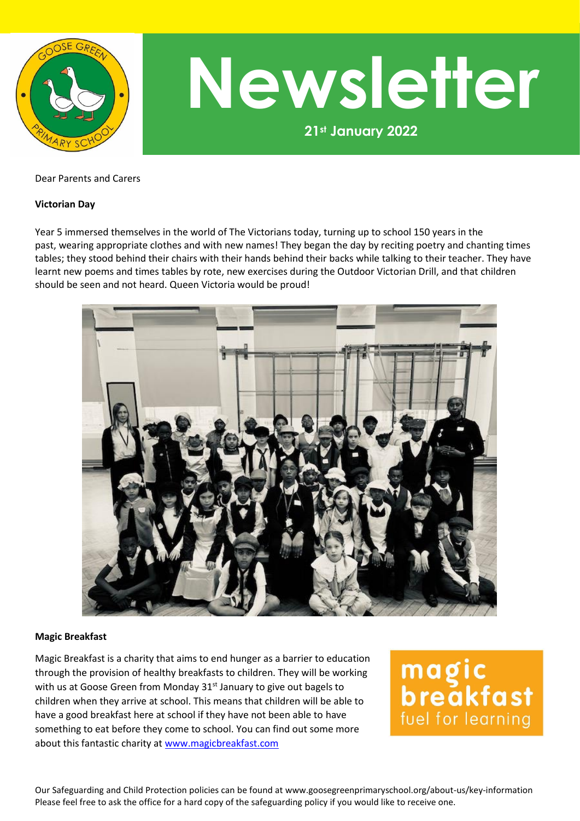

**21st January 2022 Newsletter**

#### Dear Parents and Carers

#### **Victorian Day**

Year 5 immersed themselves in the world of The Victorians today, turning up to school 150 years in the past, wearing appropriate clothes and with new names! They began the day by reciting poetry and chanting times tables; they stood behind their chairs with their hands behind their backs while talking to their teacher. They have learnt new poems and times tables by rote, new exercises during the Outdoor Victorian Drill, and that children should be seen and not heard. Queen Victoria would be proud!



#### **Magic Breakfast**

Magic Breakfast is a charity that aims to end hunger as a barrier to education through the provision of healthy breakfasts to children. They will be working with us at Goose Green from Monday 31<sup>st</sup> January to give out bagels to children when they arrive at school. This means that children will be able to have a good breakfast here at school if they have not been able to have something to eat before they come to school. You can find out some more about this fantastic charity at [www.magicbreakfast.com](http://www.magicbreakfast.com/)

magic<br>breakfast fuel for learning

Our Safeguarding and Child Protection policies can be found at www.goosegreenprimaryschool.org/about-us/key-information Please feel free to ask the office for a hard copy of the safeguarding policy if you would like to receive one.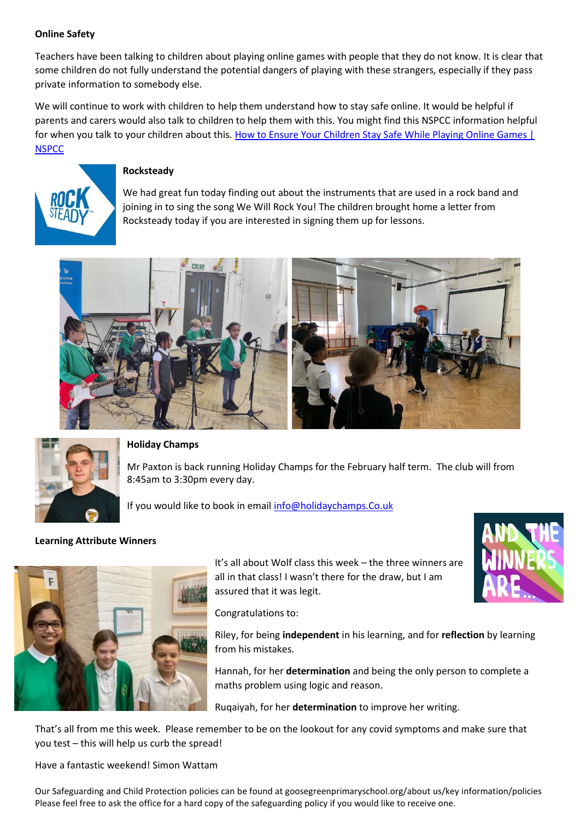# **Online Safety**

Teachers have been talking to children about playing online games with people that they do not know. It is clear that some children do not fully understand the potential dangers of playing with these strangers, especially if they pass private information to somebody else.

We will continue to work with children to help them understand how to stay safe online. It would be helpful if parents and carers would also talk to children to help them with this. You might find this NSPCC information helpful for when you talk to your children about this. How to Ensure Your Children Stay Safe While Playing Online Games | **[NSPCC](https://www.nspcc.org.uk/keeping-children-safe/online-safety/online-games/)** 



## **Rocksteady**

We had great fun today finding out about the instruments that are used in a rock band and joining in to sing the song We Will Rock You! The children brought home a letter from Rocksteady today if you are interested in signing them up for lessons.





## **Holiday Champs**

Mr Paxton is back running Holiday Champs for the February half term. The club will from 8:45am to 3:30pm every day.

If you would like to book in email [info@holidaychamps.Co.uk](mailto:info@holidaychamps.Co.uk)

## **Learning Attribute Winners**



It's all about Wolf class this week – the three winners are all in that class! I wasn't there for the draw, but I am assured that it was legit.

Congratulations to:

Riley, for being **independent** in his learning, and for **reflection** by learning from his mistakes.

Hannah, for her **determination** and being the only person to complete a maths problem using logic and reason.

Ruqaiyah, for her **determination** to improve her writing.

That's all from me this week. Please remember to be on the lookout for any covid symptoms and make sure that you test – this will help us curb the spread!

Have a fantastic weekend! Simon Wattam

Our Safeguarding and Child Protection policies can be found at goosegreenprimaryschool.org/about us/key information/policies Please feel free to ask the office for a hard copy of the safeguarding policy if you would like to receive one.